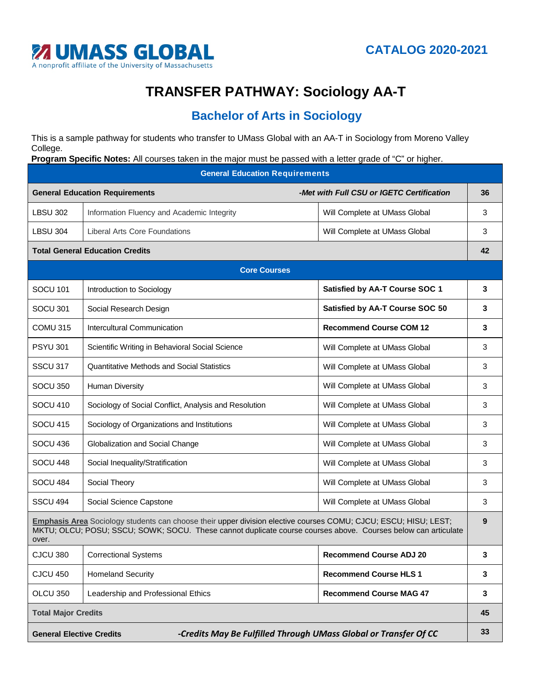

## **TRANSFER PATHWAY: Sociology AA-T**

## **Bachelor of Arts in Sociology**

This is a sample pathway for students who transfer to UMass Global with an AA-T in Sociology from Moreno Valley College.

**Program Specific Notes:** All courses taken in the major must be passed with a letter grade of "C" or higher.

**General Education Requirements General Education Requirements** *-Met with Full CSU or IGETC Certification* **36** LBSU 302 | Information Fluency and Academic Integrity Nulley Null Complete at UMass Global 23 LBSU 304 | Liberal Arts Core Foundations Number 2012 | Will Complete at UMass Global 2014 | 3 **Total General Education Credits 42 Core Courses** SOCU 101 Introduction to Sociology **Satisfied by AA-T Course SOC 1 3** SOCU 301 Social Research Design **Satisfied by AA-T Course SOC 50 3** COMU 315 Intercultural Communication **Recommend Course COM 12 3** PSYU 301 Scientific Writing in Behavioral Social Science Will Complete at UMass Global 3 SSCU 317 | Quantitative Methods and Social Statistics | Will Complete at UMass Global | 3 SOCU 350 Human Diversity **Network Complete at UMass Global 2009** Nill Complete at UMass Global 3 SOCU 410 Sociology of Social Conflict, Analysis and Resolution Will Complete at UMass Global 3 SOCU 415 Sociology of Organizations and Institutions Network Society Will Complete at UMass Global 3 SOCU 436 Globalization and Social Change New York Null Complete at UMass Global 1 3 SOCU 448 Social Inequality/Stratification Network Social Assessment Research Assessment Research 3 SOCU 484 Social Theory Social Theory Social Society Assessment Complete at UMass Global 3 SSCU 494 | Social Science Capstone New York New York New York Will Complete at UMass Global 2012 3 **Emphasis Area** Sociology students can choose their upper division elective courses COMU; CJCU; ESCU; HISU; LEST; MKTU; OLCU; POSU; SSCU; SOWK; SOCU. These cannot duplicate course courses above. Courses below can articulate over. **9** CJCU 380 Correctional Systems **Recommend Course ADJ 20 3** CJCU 450 Homeland Security **Recommend Course HLS 1 3** OLCU 350 Leadership and Professional Ethics **Recommend Course MAG 47 3 Total Major Credits 45 General Elective Credits** *-Credits May Be Fulfilled Through UMass Global or Transfer Of CC* **33**